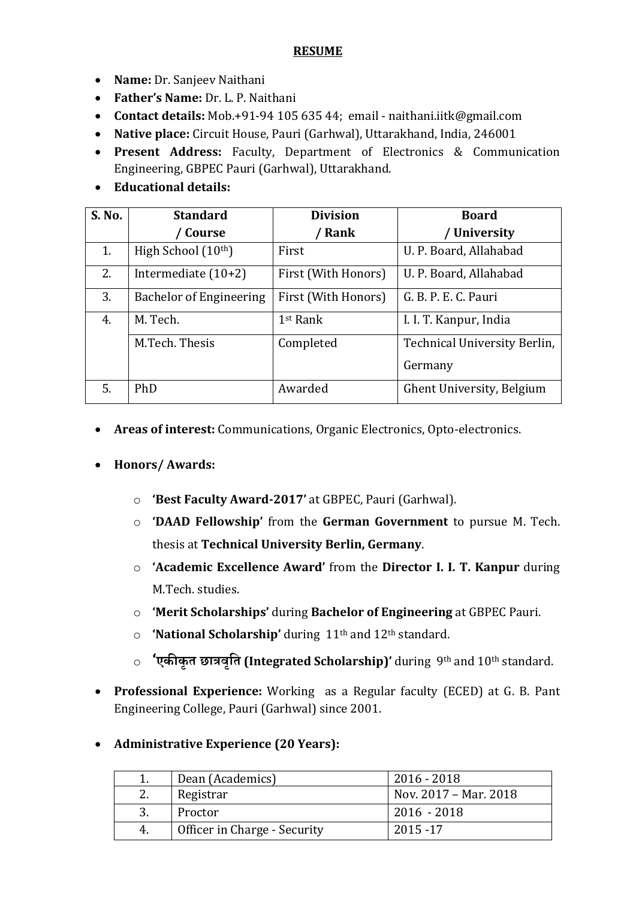#### **RESUME**

- **Name:** Dr. Sanjeev Naithani
- **Father's Name:** Dr. L. P. Naithani
- **Contact details:** Mob.+91-94 105 635 44; email naithani.iitk@gmail.com
- **Native place:** Circuit House, Pauri (Garhwal), Uttarakhand, India, 246001
- **Present Address:** Faculty, Department of Electronics & Communication Engineering, GBPEC Pauri (Garhwal), Uttarakhand.
- **Educational details:**

| S. No. | <b>Standard</b>                | <b>Division</b>      | <b>Board</b>                 |
|--------|--------------------------------|----------------------|------------------------------|
|        | Course                         | Rank                 | / University                 |
| 1.     | High School (10th)             | First                | U. P. Board, Allahabad       |
| 2.     | Intermediate $(10+2)$          | First (With Honors)  | U. P. Board, Allahabad       |
| 3.     | <b>Bachelor of Engineering</b> | First (With Honors)  | G. B. P. E. C. Pauri         |
| 4.     | M. Tech.                       | 1 <sup>st</sup> Rank | I. I. T. Kanpur, India       |
|        | M.Tech. Thesis                 | Completed            | Technical University Berlin, |
|        |                                |                      | Germany                      |
| 5.     | PhD                            | Awarded              | Ghent University, Belgium    |

**Areas of interest:** Communications, Organic Electronics, Opto-electronics.

# **Honors/ Awards:**

- o **'Best Faculty Award-2017'** at GBPEC, Pauri (Garhwal).
- o **'DAAD Fellowship'** from the **German Government** to pursue M. Tech. thesis at **Technical University Berlin, Germany**.
- o **'Academic Excellence Award'** from the **Director I. I. T. Kanpur** during M.Tech. studies.
- o **'Merit Scholarships'** during **Bachelor of Engineering** at GBPEC Pauri.
- o **'National Scholarship'** during 11th and 12th standard.
- o **'एकीकृत छात्रवृतत (Integrated Scholarship)'** during 9th and 10th standard.
- **Professional Experience:** Working as a Regular faculty (ECED) at G. B. Pant Engineering College, Pauri (Garhwal) since 2001.

# **Administrative Experience (20 Years):**

|    | Dean (Academics)             | $2016 - 2018$         |
|----|------------------------------|-----------------------|
|    | Registrar                    | Nov. 2017 – Mar. 2018 |
|    | Proctor                      | $2016 - 2018$         |
| 4. | Officer in Charge - Security | 2015 - 17             |